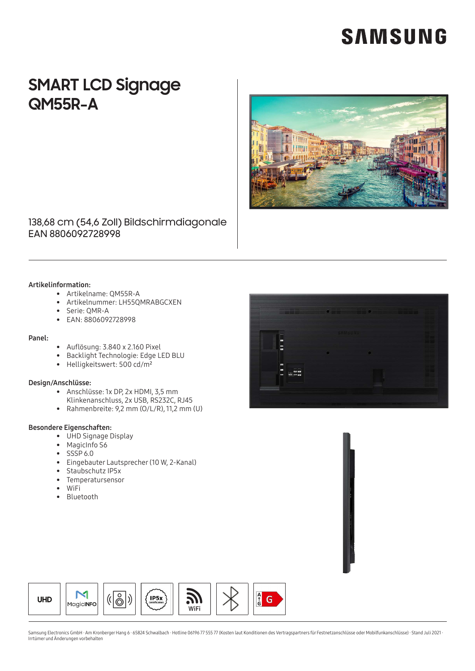# **SAMSUNG**

### **SMART LCD Signage QM55R-A**



### 138,68 cm (54,6 Zoll) Bildschirmdiagonale EAN 8806092728998

#### Artikelinformation:

- Artikelname: QM55R-A
- Artikelnummer: LH55QMRABGCXEN
- Serie: OMR-A
- EAN: 8806092728998

#### Panel:

- Auflösung: 3.840 x 2.160 Pixel
- Backlight Technologie: Edge LED BLU
- Helligkeitswert: 500 cd/m<sup>2</sup>

#### Design/Anschlüsse:

- Anschlüsse: 1x DP, 2x HDMI, 3,5 mm
- Klinkenanschluss, 2x USB, RS232C, RJ45
- Rahmenbreite: 9,2 mm (O/L/R), 11,2 mm (U)

#### Besondere Eigenschaften:

- UHD Signage Display
- MagicInfo S6
- $\bullet$  SSSP 6.0
- Eingebauter Lautsprecher (10 W, 2-Kanal)
- Staubschutz IP5x
- Temperatursensor
- $\bullet$  WiFi
- Bluetooth





Samsung Electronics GmbH · Am Kronberger Hang 6 · 65824 Schwalbach · Hotline 06196 77 555 77 (Kosten laut Konditionen des Vertragspartners für Festnetzanschlüsse oder Mobilfunkanschlüsse) · Stand Juli 2021 · Irrtümer und Änderungen vorbehalten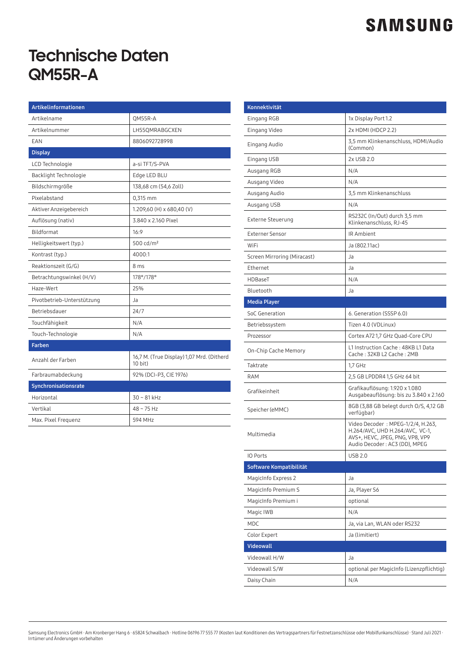## **SAMSUNG**

### **Technische Daten QM55R-A**

| Artikelinformationen       |                                                      |
|----------------------------|------------------------------------------------------|
| Artikelname                | QM55R-A                                              |
| Artikelnummer              | LH55QMRABGCXEN                                       |
| EAN                        | 8806092728998                                        |
| <b>Display</b>             |                                                      |
| LCD Technologie            | a-si TFT/S-PVA                                       |
| Backlight Technologie      | Edge LED BLU                                         |
| Bildschirmgröße            | 138,68 cm (54,6 Zoll)                                |
| Pixelabstand               | 0,315 mm                                             |
| Aktiver Anzeigebereich     | 1.209,60 (H) x 680,40 (V)                            |
| Auflösung (nativ)          | 3.840 x 2.160 Pixel                                  |
| Bildformat                 | 16:9                                                 |
| Helligkeitswert (typ.)     | 500 cd/m <sup>2</sup>                                |
| Kontrast (typ.)            | 4000:1                                               |
| Reaktionszeit (G/G)        | 8 ms                                                 |
| Betrachtungswinkel (H/V)   | 178°/178°                                            |
| Haze-Wert                  | 25%                                                  |
| Pivotbetrieb-Unterstützung | Ja                                                   |
| Betriebsdauer              | 24/7                                                 |
| Touchfähigkeit             | N/A                                                  |
| Touch-Technologie          | N/A                                                  |
| <b>Farben</b>              |                                                      |
| Anzahl der Farben          | 16,7 M. (True Display) 1,07 Mrd. (Ditherd<br>10 bit) |
| Farbraumabdeckung          | 92% (DCI-P3, CIE 1976)                               |
| Synchronisationsrate       |                                                      |
| Horizontal                 | $30 - 81$ kHz                                        |
| Vertikal                   | $48 - 75$ Hz                                         |
| Max. Pixel Frequenz        | 594 MHz                                              |

| Konnektivität               |                                                                                                                                           |
|-----------------------------|-------------------------------------------------------------------------------------------------------------------------------------------|
| Eingang RGB                 | 1x Display Port 1.2                                                                                                                       |
| Eingang Video               | 2x HDMI (HDCP 2.2)                                                                                                                        |
| Eingang Audio               | 3,5 mm Klinkenanschluss, HDMI/Audio<br>(Common)                                                                                           |
| Eingang USB                 | 2x USB 2.0                                                                                                                                |
| Ausgang RGB                 | N/A                                                                                                                                       |
| Ausgang Video               | N/A                                                                                                                                       |
| Ausgang Audio               | 3,5 mm Klinkenanschluss                                                                                                                   |
| Ausgang USB                 | N/A                                                                                                                                       |
| Externe Steuerung           | RS232C (In/Out) durch 3,5 mm<br>Klinkenanschluss, RJ-45                                                                                   |
| <b>Externer Sensor</b>      | IR Ambient                                                                                                                                |
| WiFi                        | Ja (802.11ac)                                                                                                                             |
| Screen Mirroring (Miracast) | Ja                                                                                                                                        |
| Ethernet                    | Ja                                                                                                                                        |
| HDBaseT                     | N/A                                                                                                                                       |
| Bluetooth                   | Ja                                                                                                                                        |
| <b>Media Player</b>         |                                                                                                                                           |
| SoC Generation              | 6. Generation (SSSP 6.0)                                                                                                                  |
| Betriebssystem              | Tizen 4.0 (VDLinux)                                                                                                                       |
| Prozessor                   | Cortex A72 1,7 GHz Quad-Core CPU                                                                                                          |
| On-Chip Cache Memory        | L1 Instruction Cache: 48KB L1 Data<br>Cache: 32KB L2 Cache: 2MB                                                                           |
| Taktrate                    | 1,7 GHz                                                                                                                                   |
| <b>RAM</b>                  | 2,5 GB LPDDR4 1,5 GHz 64 bit                                                                                                              |
| Grafikeinheit               | Grafikauflösung: 1.920 x 1.080<br>Ausgabeauflösung: bis zu 3.840 x 2.160                                                                  |
| Speicher (eMMC)             | 8GB (3,88 GB belegt durch O/S, 4,12 GB<br>verfügbar)                                                                                      |
| Multimedia                  | Video Decoder: MPEG-1/2/4, H.263,<br>H.264/AVC, UHD H.264/AVC, VC-1,<br>AVS+, HEVC, JPEG, PNG, VP8, VP9<br>Audio Decoder : AC3 (DD), MPEG |
| IO Ports                    | <b>USB 2.0</b>                                                                                                                            |
| Software Kompatibilität     |                                                                                                                                           |
| MagicInfo Express 2         | Ja                                                                                                                                        |
| MagicInfo Premium S         | Ja, Player S6                                                                                                                             |
| MagicInfo Premium i         | optional                                                                                                                                  |
| Magic IWB                   | N/A                                                                                                                                       |
| <b>MDC</b>                  | Ja, via Lan, WLAN oder RS232                                                                                                              |
| Color Expert                | Ja (limitiert)                                                                                                                            |
| <b>Videowall</b>            |                                                                                                                                           |
| Videowall H/W               | Ja                                                                                                                                        |
| Videowall S/W               | optional per MagicInfo (Lizenzpflichtig)                                                                                                  |
| Daisy Chain                 | N/A                                                                                                                                       |